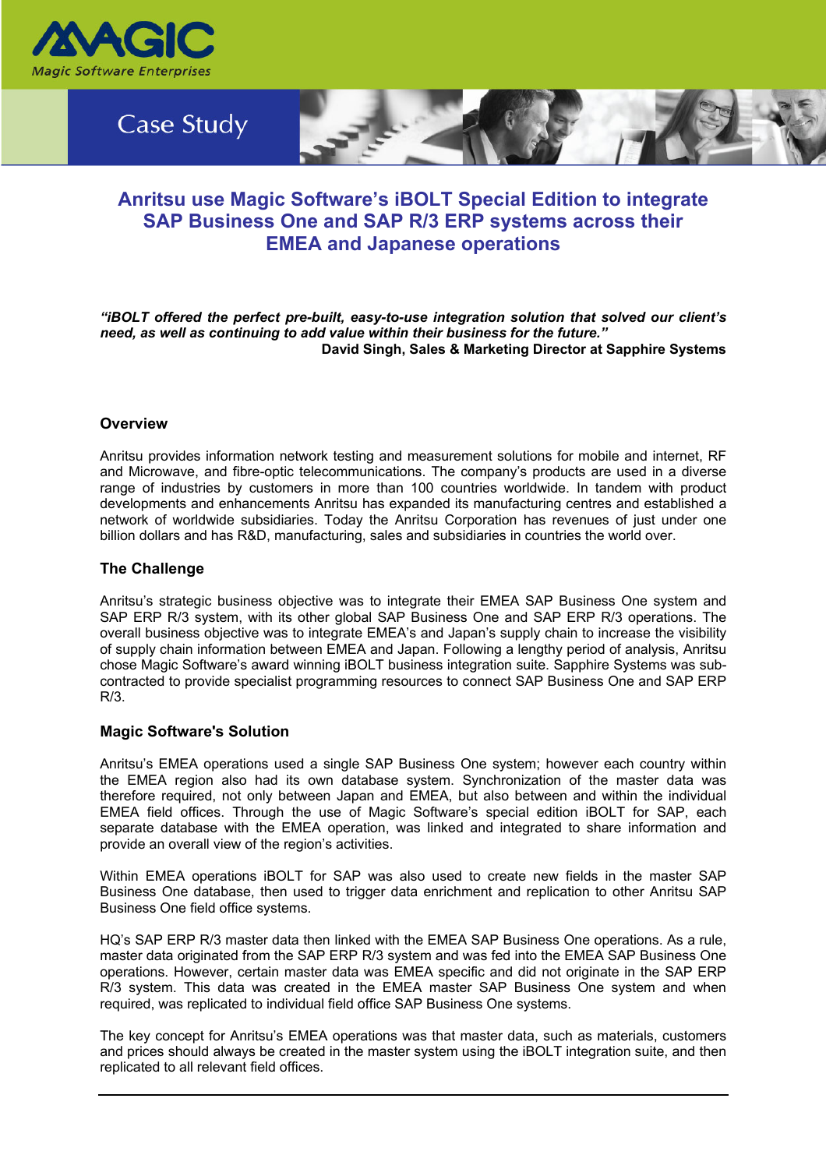



# **Anritsu use Magic Software's iBOLT Special Edition to integrate SAP Business One and SAP R/3 ERP systems across their EMEA and Japanese operations**

*"iBOLT offered the perfect pre-built, easy-to-use integration solution that solved our client's need, as well as continuing to add value within their business for the future."*  **David Singh, Sales & Marketing Director at Sapphire Systems** 

# **Overview**

Anritsu provides information network testing and measurement solutions for mobile and internet, RF and Microwave, and fibre-optic telecommunications. The company's products are used in a diverse range of industries by customers in more than 100 countries worldwide. In tandem with product developments and enhancements Anritsu has expanded its manufacturing centres and established a network of worldwide subsidiaries. Today the Anritsu Corporation has revenues of just under one billion dollars and has R&D, manufacturing, sales and subsidiaries in countries the world over.

# **The Challenge**

Anritsu's strategic business objective was to integrate their EMEA SAP Business One system and SAP ERP R/3 system, with its other global SAP Business One and SAP ERP R/3 operations. The overall business objective was to integrate EMEA's and Japan's supply chain to increase the visibility of supply chain information between EMEA and Japan. Following a lengthy period of analysis, Anritsu chose Magic Software's award winning iBOLT business integration suite. Sapphire Systems was subcontracted to provide specialist programming resources to connect SAP Business One and SAP ERP R/3.

# **Magic Software's Solution**

Anritsu's EMEA operations used a single SAP Business One system; however each country within the EMEA region also had its own database system. Synchronization of the master data was therefore required, not only between Japan and EMEA, but also between and within the individual EMEA field offices. Through the use of Magic Software's special edition iBOLT for SAP, each separate database with the EMEA operation, was linked and integrated to share information and provide an overall view of the region's activities.

Within EMEA operations iBOLT for SAP was also used to create new fields in the master SAP Business One database, then used to trigger data enrichment and replication to other Anritsu SAP Business One field office systems.

HQ's SAP ERP R/3 master data then linked with the EMEA SAP Business One operations. As a rule, master data originated from the SAP ERP R/3 system and was fed into the EMEA SAP Business One operations. However, certain master data was EMEA specific and did not originate in the SAP ERP R/3 system. This data was created in the EMEA master SAP Business One system and when required, was replicated to individual field office SAP Business One systems.

The key concept for Anritsu's EMEA operations was that master data, such as materials, customers and prices should always be created in the master system using the iBOLT integration suite, and then replicated to all relevant field offices.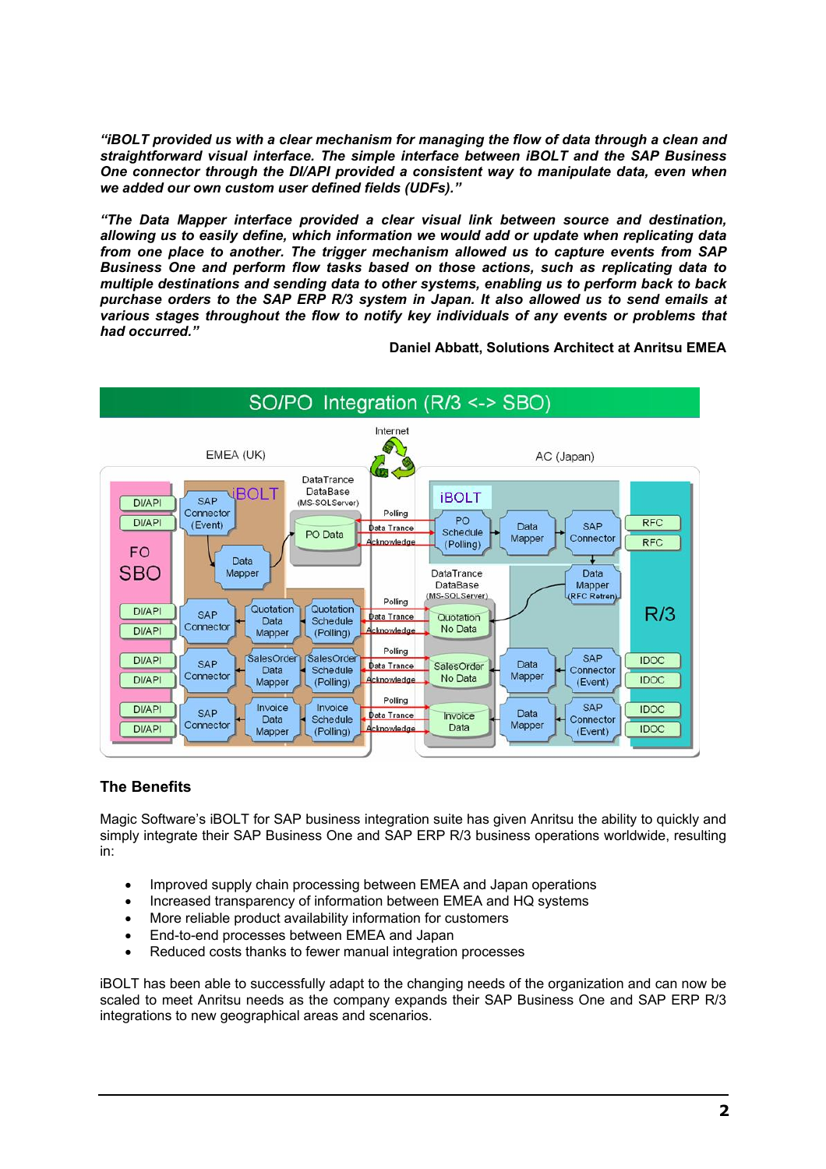*"iBOLT provided us with a clear mechanism for managing the flow of data through a clean and straightforward visual interface. The simple interface between iBOLT and the SAP Business One connector through the DI/API provided a consistent way to manipulate data, even when we added our own custom user defined fields (UDFs)."* 

*"The Data Mapper interface provided a clear visual link between source and destination, allowing us to easily define, which information we would add or update when replicating data from one place to another. The trigger mechanism allowed us to capture events from SAP Business One and perform flow tasks based on those actions, such as replicating data to multiple destinations and sending data to other systems, enabling us to perform back to back purchase orders to the SAP ERP R/3 system in Japan. It also allowed us to send emails at various stages throughout the flow to notify key individuals of any events or problems that had occurred."* 

**Daniel Abbatt, Solutions Architect at Anritsu EMEA** 



# **The Benefits**

Magic Software's iBOLT for SAP business integration suite has given Anritsu the ability to quickly and simply integrate their SAP Business One and SAP ERP R/3 business operations worldwide, resulting in:

- Improved supply chain processing between EMEA and Japan operations
- Increased transparency of information between EMEA and HQ systems
- More reliable product availability information for customers
- End-to-end processes between EMEA and Japan
- Reduced costs thanks to fewer manual integration processes

iBOLT has been able to successfully adapt to the changing needs of the organization and can now be scaled to meet Anritsu needs as the company expands their SAP Business One and SAP ERP R/3 integrations to new geographical areas and scenarios.